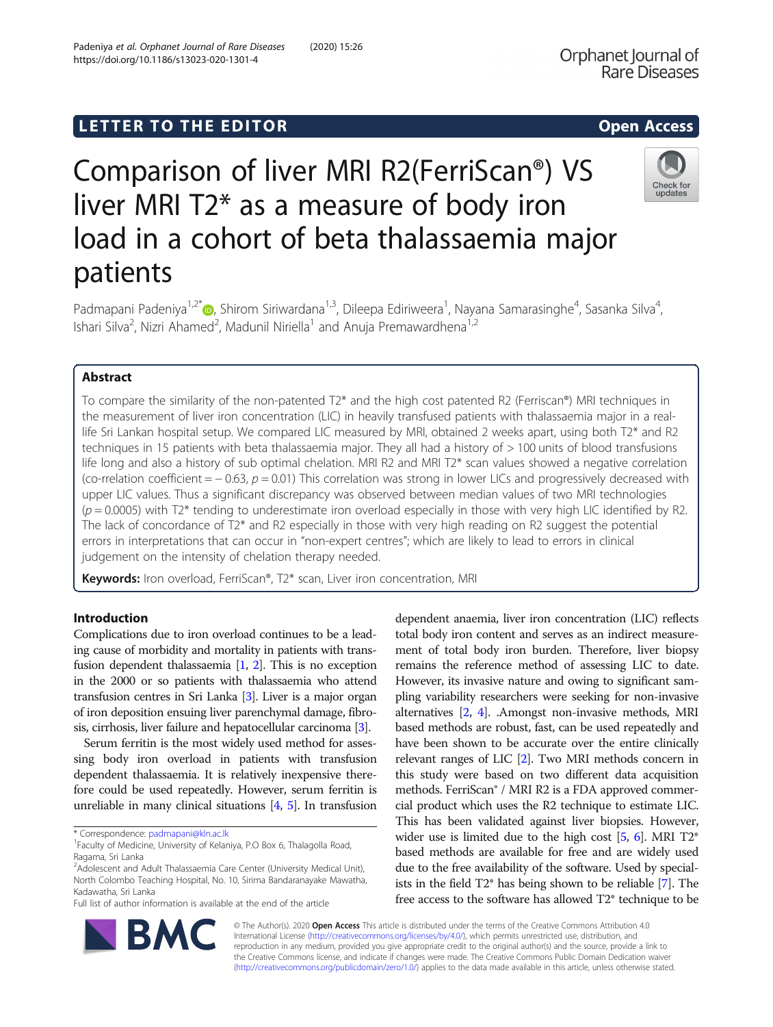# LETTER TO THE EDITOR **CONTROLLER TO THE EDITOR**

# Comparison of liver MRI R2(FerriScan®) VS liver MRI T2\* as a measure of body iron load in a cohort of beta thalassaemia major patients

Padmapani Padeniya<sup>1[,](http://orcid.org/0000-0003-4197-9799)2\*</sup>®, Shirom Siriwardana<sup>1,3</sup>, Dileepa Ediriweera<sup>1</sup>, Nayana Samarasinghe<sup>4</sup>, Sasanka Silva<sup>4</sup> , Ishari Silva<sup>2</sup>, Nizri Ahamed<sup>2</sup>, Madunil Niriella<sup>1</sup> and Anuja Premawardhena<sup>1,2</sup>

# Abstract

To compare the similarity of the non-patented T2\* and the high cost patented R2 (Ferriscan®) MRI techniques in the measurement of liver iron concentration (LIC) in heavily transfused patients with thalassaemia major in a reallife Sri Lankan hospital setup. We compared LIC measured by MRI, obtained 2 weeks apart, using both T2\* and R2 techniques in 15 patients with beta thalassaemia major. They all had a history of > 100 units of blood transfusions life long and also a history of sub optimal chelation. MRI R2 and MRI T2\* scan values showed a negative correlation (co-rrelation coefficient =  $-0.63$ ,  $p = 0.01$ ) This correlation was strong in lower LICs and progressively decreased with upper LIC values. Thus a significant discrepancy was observed between median values of two MRI technologies  $(p = 0.0005)$  with T2<sup>\*</sup> tending to underestimate iron overload especially in those with very high LIC identified by R2. The lack of concordance of T2\* and R2 especially in those with very high reading on R2 suggest the potential errors in interpretations that can occur in "non-expert centres"; which are likely to lead to errors in clinical judgement on the intensity of chelation therapy needed.

Keywords: Iron overload, FerriScan®, T2\* scan, Liver iron concentration, MRI

# Introduction

Complications due to iron overload continues to be a leading cause of morbidity and mortality in patients with transfusion dependent thalassaemia [[1](#page-3-0), [2\]](#page-3-0). This is no exception in the 2000 or so patients with thalassaemia who attend transfusion centres in Sri Lanka [\[3](#page-3-0)]. Liver is a major organ of iron deposition ensuing liver parenchymal damage, fibrosis, cirrhosis, liver failure and hepatocellular carcinoma [\[3\]](#page-3-0).

Serum ferritin is the most widely used method for assessing body iron overload in patients with transfusion dependent thalassaemia. It is relatively inexpensive therefore could be used repeatedly. However, serum ferritin is unreliable in many clinical situations [\[4,](#page-3-0) [5](#page-3-0)]. In transfusion

\* Correspondence: [padmapani@kln.ac.lk](mailto:padmapani@kln.ac.lk) <sup>1</sup>

BA

Full list of author information is available at the end of the article

dependent anaemia, liver iron concentration (LIC) reflects total body iron content and serves as an indirect measurement of total body iron burden. Therefore, liver biopsy remains the reference method of assessing LIC to date. However, its invasive nature and owing to significant sampling variability researchers were seeking for non-invasive alternatives [\[2,](#page-3-0) [4\]](#page-3-0). .Amongst non-invasive methods, MRI based methods are robust, fast, can be used repeatedly and have been shown to be accurate over the entire clinically relevant ranges of LIC [\[2](#page-3-0)]. Two MRI methods concern in this study were based on two different data acquisition methods. FerriScan® / MRI R2 is a FDA approved commercial product which uses the R2 technique to estimate LIC. This has been validated against liver biopsies. However, wider use is limited due to the high cost  $[5, 6]$  $[5, 6]$  $[5, 6]$  $[5, 6]$ . MRI T2<sup>\*</sup> based methods are available for free and are widely used due to the free availability of the software. Used by specialists in the field T2\* has being shown to be reliable [\[7\]](#page-3-0). The free access to the software has allowed T2\* technique to be

© The Author(s). 2020 Open Access This article is distributed under the terms of the Creative Commons Attribution 4.0 International License [\(http://creativecommons.org/licenses/by/4.0/](http://creativecommons.org/licenses/by/4.0/)), which permits unrestricted use, distribution, and reproduction in any medium, provided you give appropriate credit to the original author(s) and the source, provide a link to the Creative Commons license, and indicate if changes were made. The Creative Commons Public Domain Dedication waiver [\(http://creativecommons.org/publicdomain/zero/1.0/](http://creativecommons.org/publicdomain/zero/1.0/)) applies to the data made available in this article, unless otherwise stated.





<sup>&</sup>lt;sup>1</sup> Faculty of Medicine, University of Kelaniya, P.O Box 6, Thalagolla Road, Ragama, Sri Lanka

<sup>&</sup>lt;sup>2</sup> Adolescent and Adult Thalassaemia Care Center (University Medical Unit), North Colombo Teaching Hospital, No. 10, Sirima Bandaranayake Mawatha, Kadawatha, Sri Lanka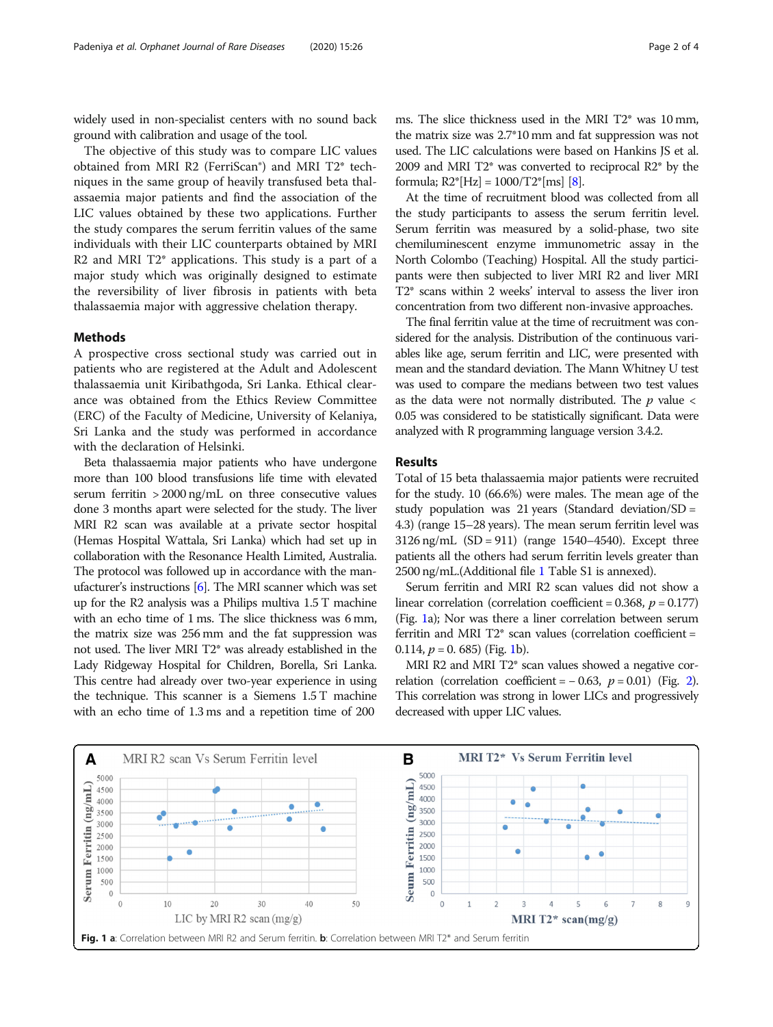widely used in non-specialist centers with no sound back ground with calibration and usage of the tool.

The objective of this study was to compare LIC values obtained from MRI R2 (FerriScan®) and MRI T2\* techniques in the same group of heavily transfused beta thalassaemia major patients and find the association of the LIC values obtained by these two applications. Further the study compares the serum ferritin values of the same individuals with their LIC counterparts obtained by MRI R2 and MRI T2\* applications. This study is a part of a major study which was originally designed to estimate the reversibility of liver fibrosis in patients with beta thalassaemia major with aggressive chelation therapy.

# Methods

A prospective cross sectional study was carried out in patients who are registered at the Adult and Adolescent thalassaemia unit Kiribathgoda, Sri Lanka. Ethical clearance was obtained from the Ethics Review Committee (ERC) of the Faculty of Medicine, University of Kelaniya, Sri Lanka and the study was performed in accordance with the declaration of Helsinki.

Beta thalassaemia major patients who have undergone more than 100 blood transfusions life time with elevated serum ferritin > 2000 ng/mL on three consecutive values done 3 months apart were selected for the study. The liver MRI R2 scan was available at a private sector hospital (Hemas Hospital Wattala, Sri Lanka) which had set up in collaboration with the Resonance Health Limited, Australia. The protocol was followed up in accordance with the manufacturer's instructions [\[6\]](#page-3-0). The MRI scanner which was set up for the R2 analysis was a Philips multiva 1.5 T machine with an echo time of 1 ms. The slice thickness was 6 mm, the matrix size was 256 mm and the fat suppression was not used. The liver MRI T2\* was already established in the Lady Ridgeway Hospital for Children, Borella, Sri Lanka. This centre had already over two-year experience in using the technique. This scanner is a Siemens 1.5 T machine with an echo time of 1.3 ms and a repetition time of 200

ms. The slice thickness used in the MRI T2\* was 10 mm, the matrix size was 2.7\*10 mm and fat suppression was not used. The LIC calculations were based on Hankins JS et al. 2009 and MRI T2\* was converted to reciprocal R2\* by the formula;  $R2^*[Hz] = 1000/T2^*[ms]$  [[8\]](#page-3-0).

At the time of recruitment blood was collected from all the study participants to assess the serum ferritin level. Serum ferritin was measured by a solid-phase, two site chemiluminescent enzyme immunometric assay in the North Colombo (Teaching) Hospital. All the study participants were then subjected to liver MRI R2 and liver MRI T2\* scans within 2 weeks' interval to assess the liver iron concentration from two different non-invasive approaches.

The final ferritin value at the time of recruitment was considered for the analysis. Distribution of the continuous variables like age, serum ferritin and LIC, were presented with mean and the standard deviation. The Mann Whitney U test was used to compare the medians between two test values as the data were not normally distributed. The  $p$  value  $\lt$ 0.05 was considered to be statistically significant. Data were analyzed with R programming language version 3.4.2.

# Results

Total of 15 beta thalassaemia major patients were recruited for the study. 10 (66.6%) were males. The mean age of the study population was 21 years (Standard deviation/SD = 4.3) (range 15–28 years). The mean serum ferritin level was  $3126 \text{ ng/mL}$   $(SD = 911)$  (range 1540–4540). Except three patients all the others had serum ferritin levels greater than 2500 ng/mL.(Additional file [1](#page-3-0) Table S1 is annexed).

Serum ferritin and MRI R2 scan values did not show a linear correlation (correlation coefficient =  $0.368$ ,  $p = 0.177$ ) (Fig. 1a); Nor was there a liner correlation between serum ferritin and MRI  $T2^*$  scan values (correlation coefficient = 0.114,  $p = 0.685$  (Fig. 1b).

MRI R2 and MRI T2\* scan values showed a negative correlation (correlation coefficient =  $-0.63$ ,  $p = 0.01$ ) (Fig. [2](#page-2-0)). This correlation was strong in lower LICs and progressively decreased with upper LIC values.

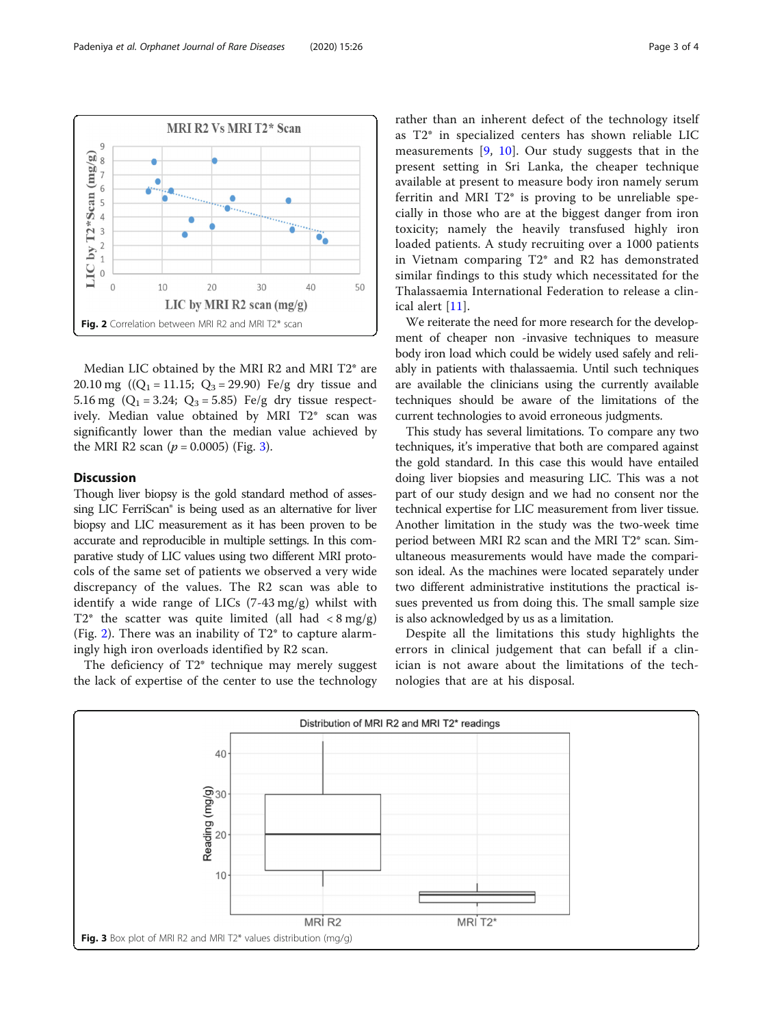<span id="page-2-0"></span>

Median LIC obtained by the MRI R2 and MRI T2\* are 20.10 mg ( $(Q_1 = 11.15; Q_3 = 29.90)$  Fe/g dry tissue and 5.16 mg  $(Q_1 = 3.24; Q_3 = 5.85)$  Fe/g dry tissue respectively. Median value obtained by MRI T2\* scan was significantly lower than the median value achieved by the MRI R2 scan ( $p = 0.0005$ ) (Fig. 3).

# Discussion

Though liver biopsy is the gold standard method of assessing LIC FerriScan® is being used as an alternative for liver biopsy and LIC measurement as it has been proven to be accurate and reproducible in multiple settings. In this comparative study of LIC values using two different MRI protocols of the same set of patients we observed a very wide discrepancy of the values. The R2 scan was able to identify a wide range of LICs (7-43 mg/g) whilst with T2\* the scatter was quite limited (all had  $\langle 8 \text{ mg/g} \rangle$ (Fig. 2). There was an inability of  $T2^*$  to capture alarmingly high iron overloads identified by R2 scan.

The deficiency of T2\* technique may merely suggest the lack of expertise of the center to use the technology rather than an inherent defect of the technology itself as T2\* in specialized centers has shown reliable LIC measurements [[9,](#page-3-0) [10\]](#page-3-0). Our study suggests that in the present setting in Sri Lanka, the cheaper technique available at present to measure body iron namely serum ferritin and MRI T2\* is proving to be unreliable specially in those who are at the biggest danger from iron toxicity; namely the heavily transfused highly iron loaded patients. A study recruiting over a 1000 patients in Vietnam comparing T2\* and R2 has demonstrated similar findings to this study which necessitated for the Thalassaemia International Federation to release a clinical alert [[11\]](#page-3-0).

We reiterate the need for more research for the development of cheaper non -invasive techniques to measure body iron load which could be widely used safely and reliably in patients with thalassaemia. Until such techniques are available the clinicians using the currently available techniques should be aware of the limitations of the current technologies to avoid erroneous judgments.

This study has several limitations. To compare any two techniques, it's imperative that both are compared against the gold standard. In this case this would have entailed doing liver biopsies and measuring LIC. This was a not part of our study design and we had no consent nor the technical expertise for LIC measurement from liver tissue. Another limitation in the study was the two-week time period between MRI R2 scan and the MRI T2\* scan. Simultaneous measurements would have made the comparison ideal. As the machines were located separately under two different administrative institutions the practical issues prevented us from doing this. The small sample size is also acknowledged by us as a limitation.

Despite all the limitations this study highlights the errors in clinical judgement that can befall if a clinician is not aware about the limitations of the technologies that are at his disposal.